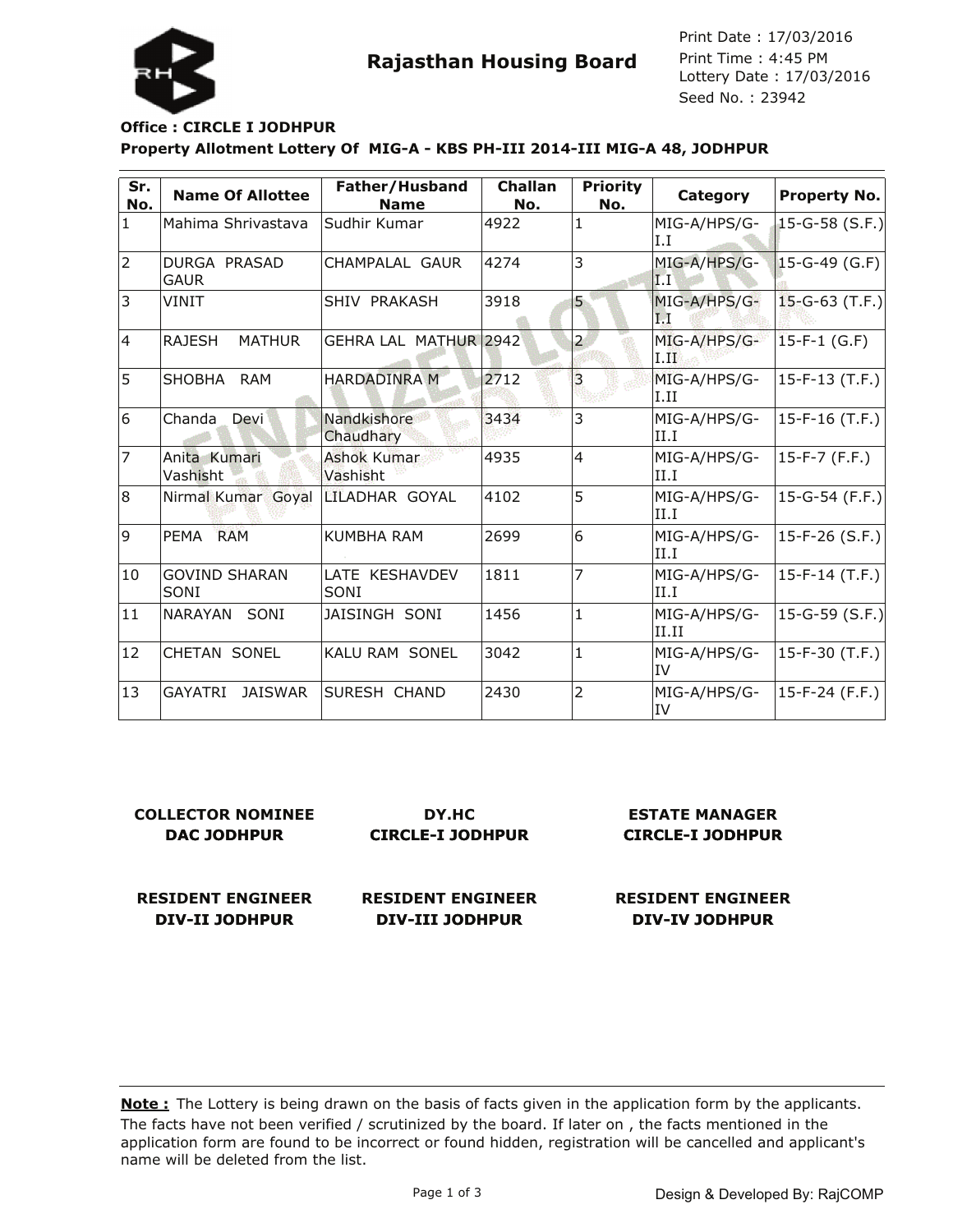Lottery Date : 17/03/2016 Seed No. : 23942 Print Date : 17/03/2016 Print Time : 4:45 PM



## **Property Allotment Lottery Of MIG-A - KBS PH-III 2014-III MIG-A 48, JODHPUR Office : CIRCLE I JODHPUR**

| Sr.<br>No.   | <b>Name Of Allottee</b>            | Father/Husband<br><b>Name</b>  | Challan<br>No. | <b>Priority</b><br>No. | Category              | Property No.         |
|--------------|------------------------------------|--------------------------------|----------------|------------------------|-----------------------|----------------------|
| $\mathbf{1}$ | Mahima Shrivastava                 | Sudhir Kumar                   | 4922           | 1                      | MIG-A/HPS/G-<br>I.I   | $15-G-58$ (S.F.)     |
| 2            | <b>DURGA PRASAD</b><br><b>GAUR</b> | CHAMPALAL GAUR                 | 4274           | 3                      | MIG-A/HPS/G-<br> I.I  | $15-G-49$ (G.F)      |
| 3            | VINIT                              | SHIV PRAKASH                   | 3918           | $\overline{5}$         | MIG-A/HPS/G-<br>I.I   | $15 - G - 63$ (T.F.) |
| 4            | <b>RAJESH</b><br><b>MATHUR</b>     | GEHRA LAL MATHUR 2942          |                | $\overline{a}$         | MIG-A/HPS/G-<br>I.H   | $15-F-1$ (G.F)       |
| 5            | SHOBHA<br><b>RAM</b>               | <b>HARDADINRA M</b>            | 2712           | $\overline{3}$         | MIG-A/HPS/G-<br>II.II | $15-F-13(T.F.)$      |
| 6            | Chanda<br>Devi                     | Nandkishore<br>Chaudhary       | 3434           | 3                      | MIG-A/HPS/G-<br>II.I  | 15-F-16 (T.F.)       |
| 17           | Anita Kumari<br>Vashisht           | <b>Ashok Kumar</b><br>Vashisht | 4935           | 4                      | MIG-A/HPS/G-<br>II.I  | 15-F-7 (F.F.)        |
| 8            | Nirmal Kumar Goyal                 | ILILADHAR GOYAL                | 4102           | 5                      | MIG-A/HPS/G-<br>II.I  | $15-G-54$ (F.F.)     |
| 9            | <b>RAM</b><br>PEMA                 | <b>KUMBHA RAM</b>              | 2699           | 6                      | MIG-A/HPS/G-<br>II.I  | 15-F-26 (S.F.)       |
| 10           | <b>GOVIND SHARAN</b><br>SONI       | LATE KESHAVDEV<br>SONI         | 1811           | 7                      | MIG-A/HPS/G-<br>II.I  | $15-F-14$ (T.F.)     |
| 11           | <b>NARAYAN</b><br>SONI             | JAISINGH SONI                  | 1456           | $\mathbf{1}$           | MIG-A/HPS/G-<br>II.II | $15-G-59$ (S.F.)     |
| 12           | CHETAN SONEL                       | <b>KALU RAM SONEL</b>          | 3042           | $\vert$ 1              | MIG-A/HPS/G-<br>ltv   | 15-F-30 (T.F.)       |
| 13           | <b>GAYATRI</b><br>JAISWAR          | ISURESH CHAND                  | 2430           | 2                      | MIG-A/HPS/G-<br>liv   | $15-F-24$ (F.F.)     |

| <b>COLLECTOR NOMINEE</b> | DY.HC                    | <b>ESTATE MANAGER</b>    |
|--------------------------|--------------------------|--------------------------|
| DAC JODHPUR              | <b>CIRCLE-I JODHPUR</b>  | <b>CIRCLE-I JODHPUR</b>  |
| <b>RESIDENT ENGINEER</b> | <b>RESIDENT ENGINEER</b> | <b>RESIDENT ENGINEER</b> |

**DIV-III JODHPUR**

**DIV-II JODHPUR**

The facts have not been verified / scrutinized by the board. If later on , the facts mentioned in the application form are found to be incorrect or found hidden, registration will be cancelled and applicant's name will be deleted from the list. **Note :** The Lottery is being drawn on the basis of facts given in the application form by the applicants.

**DIV-IV JODHPUR**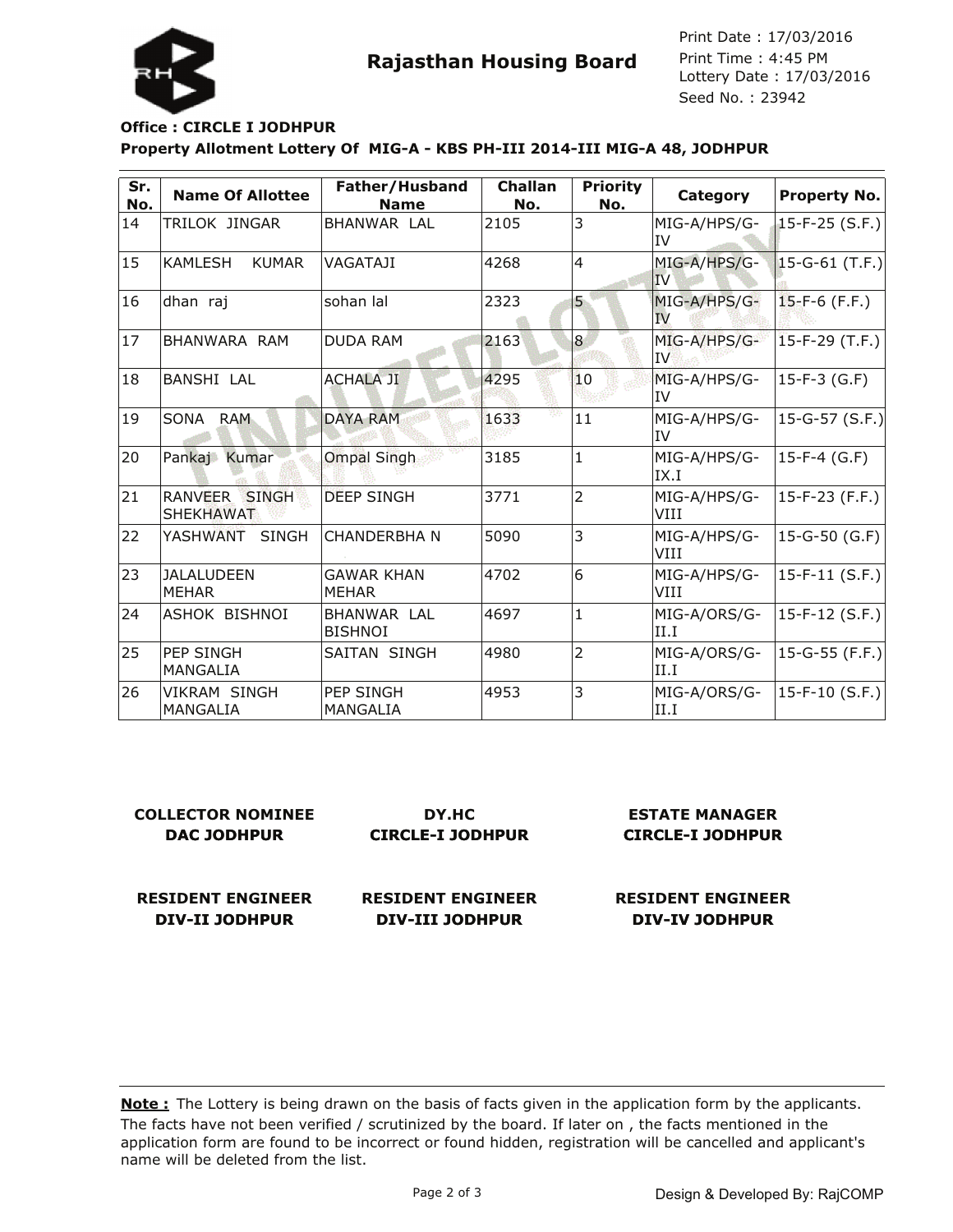Lottery Date : 17/03/2016 Seed No. : 23942 Print Date : 17/03/2016 Print Time : 4:45 PM

## **Property Allotment Lottery Of MIG-A - KBS PH-III 2014-III MIG-A 48, JODHPUR Office : CIRCLE I JODHPUR**

| Sr.<br>No. | <b>Name Of Allottee</b>           | Father/Husband<br><b>Name</b>     | <b>Challan</b><br>No. | <b>Priority</b><br>No. | Category             | <b>Property No.</b>   |
|------------|-----------------------------------|-----------------------------------|-----------------------|------------------------|----------------------|-----------------------|
| 14         | TRILOK JINGAR                     | BHANWAR LAL                       | 2105                  | 3                      | MIG-A/HPS/G-<br>IV   | $15-F-25(S.F.)$       |
| 15         | <b>KAMLESH</b><br><b>KUMAR</b>    | VAGATAJI                          | 4268                  | $\overline{4}$         | MIG-A/HPS/G-<br>IV   | $ 15 - G - 61$ (T.F.) |
| 16         | dhan raj                          | sohan lal                         | 2323                  | 5                      | MIG-A/HPS/G-<br>IV.  | $15-F-6$ (F.F.)       |
| 17         | BHANWARA RAM                      | <b>DUDA RAM</b>                   | 2163                  | $\overline{8}$         | MIG-A/HPS/G-<br>IV   | $15-F-29$ (T.F.)      |
| 18         | <b>BANSHI LAL</b>                 | <b>ACHALA JI</b>                  | 4295                  | 10                     | MIG-A/HPS/G-<br>IV   | $15-F-3$ (G.F)        |
| 19         | SONA RAM                          | <b>DAYA RAM</b>                   | 1633                  | 11                     | MIG-A/HPS/G-<br>lIV  | $ 15$ -G-57 (S.F.)    |
| 20         | Pankaj Kumar                      | <b>Ompal Singh</b>                | 3185                  | $\mathbf{1}$           | MIG-A/HPS/G-<br>IX.I | 15-F-4 (G.F)          |
| 21         | RANVEER SINGH<br><b>SHEKHAWAT</b> | <b>DEEP SINGH</b>                 | 3771                  | $\overline{2}$         | MIG-A/HPS/G-<br>VIII | $15-F-23$ (F.F.)      |
| 22         | YASHWANT SINGH                    | ICHANDERBHA N                     | 5090                  | 3                      | MIG-A/HPS/G-<br>VIII | 15-G-50 (G.F)         |
| 23         | <b>JALALUDEEN</b><br><b>MEHAR</b> | <b>GAWAR KHAN</b><br><b>MEHAR</b> | 4702                  | $\overline{6}$         | MIG-A/HPS/G-<br>VIII | $15-F-11$ (S.F.)      |
| 24         | ASHOK BISHNOI                     | BHANWAR LAL<br><b>BISHNOI</b>     | 4697                  | $\mathbf{1}$           | MIG-A/ORS/G-<br>II.I | $15-F-12(S.F.)$       |
| 25         | PEP SINGH<br>MANGALIA             | <b>SAITAN SINGH</b>               | 4980                  | $\overline{2}$         | MIG-A/ORS/G-<br>II.I | $ 15$ -G-55 (F.F.)    |
| 26         | <b>VIKRAM SINGH</b><br>MANGALIA   | <b>PEP SINGH</b><br>MANGALIA      | 4953                  | 3                      | MIG-A/ORS/G-<br>II.I | $15-F-10$ (S.F.)      |

| <b>COLLECTOR NOMINEE</b> | DY.HC                    | <b>ESTATE MANAGER</b>    |  |  |
|--------------------------|--------------------------|--------------------------|--|--|
| DAC JODHPUR              | <b>CIRCLE-I JODHPUR</b>  | <b>CIRCLE-I JODHPUR</b>  |  |  |
|                          |                          |                          |  |  |
|                          |                          |                          |  |  |
| <b>RESIDENT ENGINEER</b> | <b>RESIDENT ENGINEER</b> | <b>RESIDENT ENGINEER</b> |  |  |
| <b>DIV-II JODHPUR</b>    | DIV-III JODHPUR          | DIV-IV JODHPUR           |  |  |

The facts have not been verified / scrutinized by the board. If later on , the facts mentioned in the application form are found to be incorrect or found hidden, registration will be cancelled and applicant's name will be deleted from the list. **Note :** The Lottery is being drawn on the basis of facts given in the application form by the applicants.